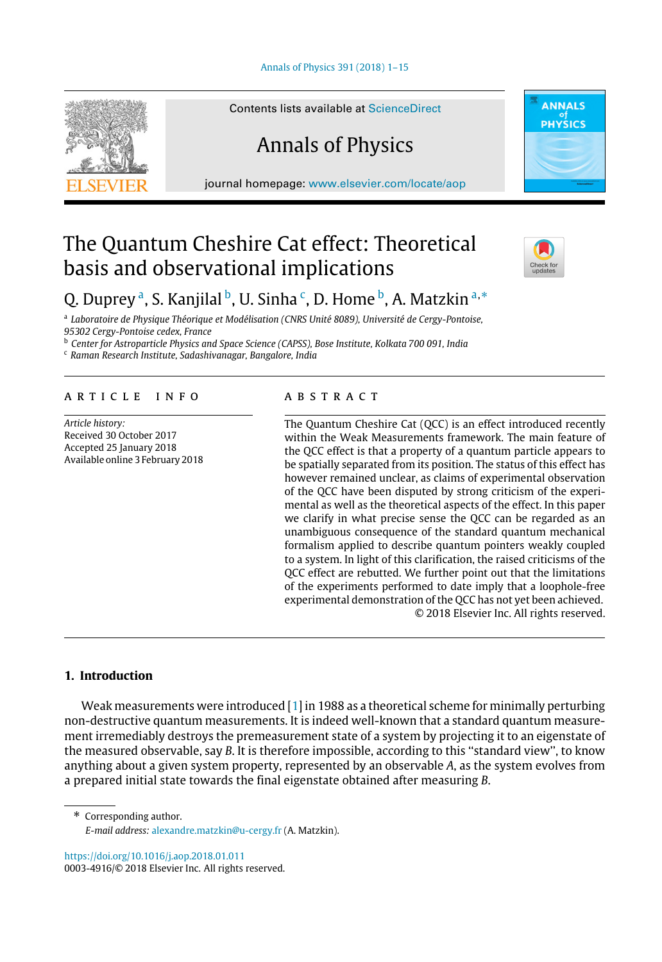#### [Annals of Physics 391 \(2018\) 1–15](https://doi.org/10.1016/j.aop.2018.01.011)



Contents lists available at [ScienceDirect](http://www.elsevier.com/locate/aop)

# Annals of Physics

journal homepage: [www.elsevier.com/locate/aop](http://www.elsevier.com/locate/aop)

# The Quantum Cheshire Cat effect: Theoretical basis and observational implications



**ANNALS** PHYSICS

# Q. Duprey <sup>[a](#page-0-0)</sup>, S. Kanjilal <sup>[b](#page-0-1)</sup>, U. Sinha <sup>[c](#page-0-2)</sup>, D. Home <sup>b</sup>, A. Matzkin <sup>[a,](#page-0-0)</sup>[\\*](#page-0-3)

<span id="page-0-0"></span>a *Laboratoire de Physique Théorique et Modélisation (CNRS Unité 8089), Université de Cergy-Pontoise, 95302 Cergy-Pontoise cedex, France*

<span id="page-0-1"></span><sup>b</sup> *Center for Astroparticle Physics and Space Science (CAPSS), Bose Institute, Kolkata 700 091, India* <sup>c</sup> *Raman Research Institute, Sadashivanagar, Bangalore, India*

<span id="page-0-2"></span>

# a r t i c l e i n f o

*Article history:* Received 30 October 2017 Accepted 25 January 2018 Available online 3 February 2018

# a b s t r a c t

The Quantum Cheshire Cat (QCC) is an effect introduced recently within the Weak Measurements framework. The main feature of the QCC effect is that a property of a quantum particle appears to be spatially separated from its position. The status of this effect has however remained unclear, as claims of experimental observation of the QCC have been disputed by strong criticism of the experimental as well as the theoretical aspects of the effect. In this paper we clarify in what precise sense the QCC can be regarded as an unambiguous consequence of the standard quantum mechanical formalism applied to describe quantum pointers weakly coupled to a system. In light of this clarification, the raised criticisms of the QCC effect are rebutted. We further point out that the limitations of the experiments performed to date imply that a loophole-free experimental demonstration of the QCC has not yet been achieved. © 2018 Elsevier Inc. All rights reserved.

# **1. Introduction**

Weak measurements were introduced  $\left[1\right]$  in 1988 as a theoretical scheme for minimally perturbing non-destructive quantum measurements. It is indeed well-known that a standard quantum measurement irremediably destroys the premeasurement state of a system by projecting it to an eigenstate of the measured observable, say *B*. It is therefore impossible, according to this ''standard view'', to know anything about a given system property, represented by an observable *A*, as the system evolves from a prepared initial state towards the final eigenstate obtained after measuring *B*.

<span id="page-0-3"></span>\* Corresponding author. *E-mail address:* [alexandre.matzkin@u-cergy.fr](mailto:alexandre.matzkin@u-cergy.fr) (A. Matzkin).

<https://doi.org/10.1016/j.aop.2018.01.011> 0003-4916/© 2018 Elsevier Inc. All rights reserved.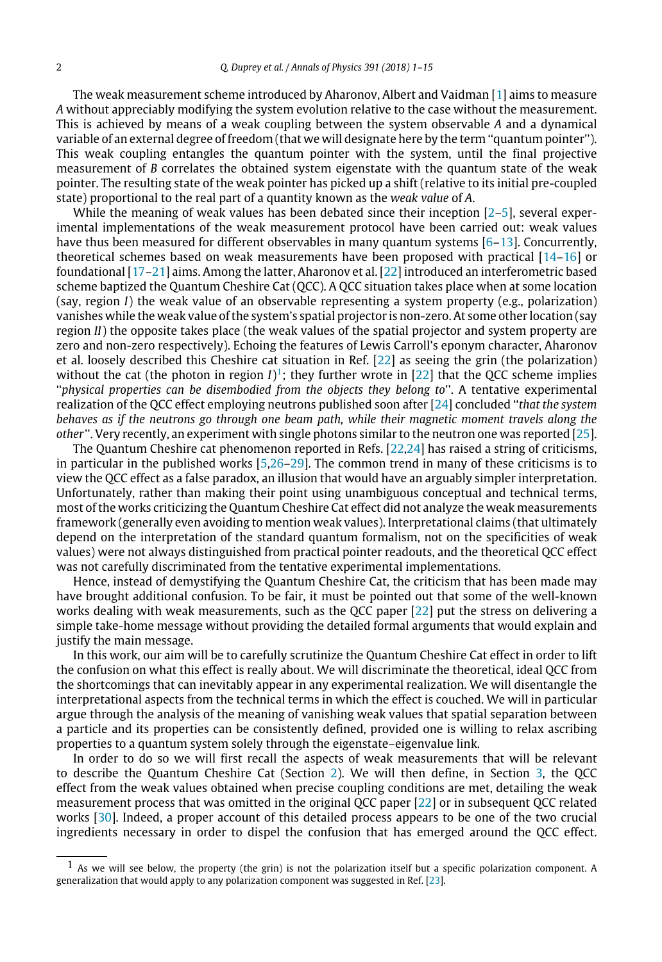The weak measurement scheme introduced by Aharonov, Albert and Vaidman [\[1\]](#page-13-0) aims to measure *A* without appreciably modifying the system evolution relative to the case without the measurement. This is achieved by means of a weak coupling between the system observable *A* and a dynamical variable of an external degree of freedom (that we will designate here by the term ''quantum pointer''). This weak coupling entangles the quantum pointer with the system, until the final projective measurement of *B* correlates the obtained system eigenstate with the quantum state of the weak pointer. The resulting state of the weak pointer has picked up a shift (relative to its initial pre-coupled state) proportional to the real part of a quantity known as the *weak value* of *A*.

While the meaning of weak values has been debated since their inception [\[2–](#page-13-1)[5\]](#page-13-2), several experimental implementations of the weak measurement protocol have been carried out: weak values have thus been measured for different observables in many quantum systems [\[6–](#page-13-3)[13\]](#page-14-0). Concurrently, theoretical schemes based on weak measurements have been proposed with practical [\[14](#page-14-1)[–16\]](#page-14-2) or foundational [\[17–](#page-14-3)[21\]](#page-14-4) aims. Among the latter, Aharonov et al. [\[22\]](#page-14-5) introduced an interferometric based scheme baptized the Quantum Cheshire Cat (QCC). A QCC situation takes place when at some location (say, region *I*) the weak value of an observable representing a system property (e.g., polarization) vanishes while the weak value of the system's spatial projector is non-zero. At some other location (say region *II*) the opposite takes place (the weak values of the spatial projector and system property are zero and non-zero respectively). Echoing the features of Lewis Carroll's eponym character, Aharonov et al. loosely described this Cheshire cat situation in Ref. [\[22\]](#page-14-5) as seeing the grin (the polarization) without the cat (the photon in region  $I$ <sup>)</sup>; they further wrote in [\[22\]](#page-14-5) that the QCC scheme implies ''*physical properties can be disembodied from the objects they belong to*''. A tentative experimental realization of the QCC effect employing neutrons published soon after [\[24\]](#page-14-6) concluded ''*that the system behaves as if the neutrons go through one beam path, while their magnetic moment travels along the other*''. Very recently, an experiment with single photons similar to the neutron one was reported [\[25\]](#page-14-7).

The Quantum Cheshire cat phenomenon reported in Refs. [\[22,](#page-14-5)[24\]](#page-14-6) has raised a string of criticisms, in particular in the published works [\[5](#page-13-2)[,26](#page-14-8)[–29\]](#page-14-9). The common trend in many of these criticisms is to view the QCC effect as a false paradox, an illusion that would have an arguably simpler interpretation. Unfortunately, rather than making their point using unambiguous conceptual and technical terms, most of the works criticizing the Quantum Cheshire Cat effect did not analyze the weak measurements framework (generally even avoiding to mention weak values). Interpretational claims (that ultimately depend on the interpretation of the standard quantum formalism, not on the specificities of weak values) were not always distinguished from practical pointer readouts, and the theoretical QCC effect was not carefully discriminated from the tentative experimental implementations.

Hence, instead of demystifying the Quantum Cheshire Cat, the criticism that has been made may have brought additional confusion. To be fair, it must be pointed out that some of the well-known works dealing with weak measurements, such as the QCC paper [\[22\]](#page-14-5) put the stress on delivering a simple take-home message without providing the detailed formal arguments that would explain and justify the main message.

In this work, our aim will be to carefully scrutinize the Quantum Cheshire Cat effect in order to lift the confusion on what this effect is really about. We will discriminate the theoretical, ideal QCC from the shortcomings that can inevitably appear in any experimental realization. We will disentangle the interpretational aspects from the technical terms in which the effect is couched. We will in particular argue through the analysis of the meaning of vanishing weak values that spatial separation between a particle and its properties can be consistently defined, provided one is willing to relax ascribing properties to a quantum system solely through the eigenstate–eigenvalue link.

In order to do so we will first recall the aspects of weak measurements that will be relevant to describe the Quantum Cheshire Cat (Section [2\)](#page-2-0). We will then define, in Section [3,](#page-5-0) the QCC effect from the weak values obtained when precise coupling conditions are met, detailing the weak measurement process that was omitted in the original QCC paper [\[22\]](#page-14-5) or in subsequent QCC related works [\[30\]](#page-14-10). Indeed, a proper account of this detailed process appears to be one of the two crucial ingredients necessary in order to dispel the confusion that has emerged around the QCC effect.

<span id="page-1-0"></span> $<sup>1</sup>$  As we will see below, the property (the grin) is not the polarization itself but a specific polarization component. A</sup> generalization that would apply to any polarization component was suggested in Ref. [\[23\]](#page-14-11).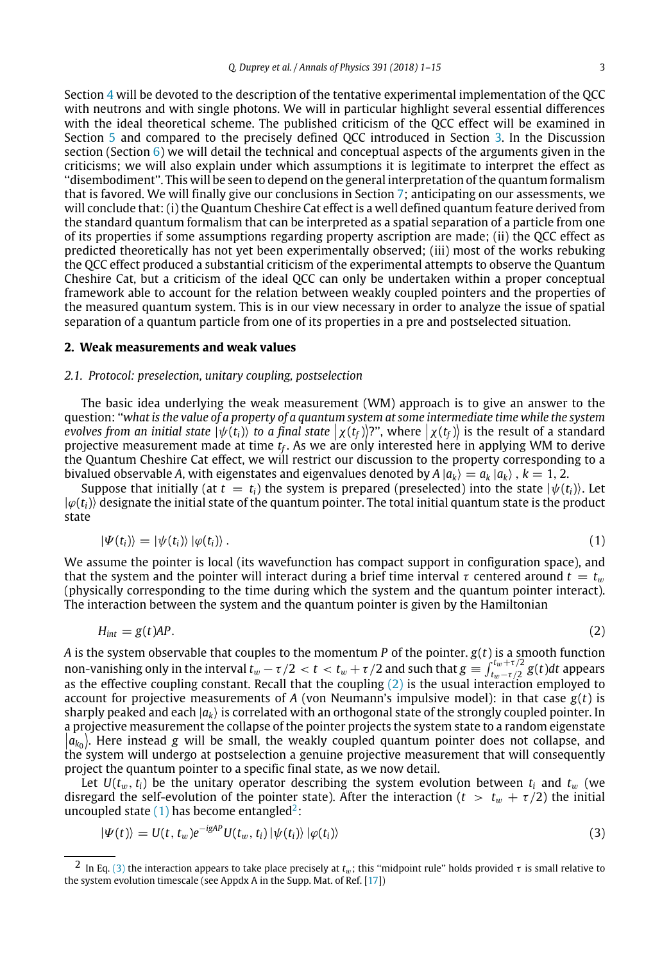Section [4](#page-7-0) will be devoted to the description of the tentative experimental implementation of the QCC with neutrons and with single photons. We will in particular highlight several essential differences with the ideal theoretical scheme. The published criticism of the QCC effect will be examined in Section [5](#page-8-0) and compared to the precisely defined QCC introduced in Section [3.](#page-5-0) In the Discussion section (Section  $6$ ) we will detail the technical and conceptual aspects of the arguments given in the criticisms; we will also explain under which assumptions it is legitimate to interpret the effect as ''disembodiment''. This will be seen to depend on the general interpretation of the quantum formalism that is favored. We will finally give our conclusions in Section [7;](#page-13-4) anticipating on our assessments, we will conclude that: (i) the Quantum Cheshire Cat effect is a well defined quantum feature derived from the standard quantum formalism that can be interpreted as a spatial separation of a particle from one of its properties if some assumptions regarding property ascription are made; (ii) the QCC effect as predicted theoretically has not yet been experimentally observed; (iii) most of the works rebuking the QCC effect produced a substantial criticism of the experimental attempts to observe the Quantum Cheshire Cat, but a criticism of the ideal QCC can only be undertaken within a proper conceptual framework able to account for the relation between weakly coupled pointers and the properties of the measured quantum system. This is in our view necessary in order to analyze the issue of spatial separation of a quantum particle from one of its properties in a pre and postselected situation.

#### <span id="page-2-0"></span>**2. Weak measurements and weak values**

#### *2.1. Protocol: preselection, unitary coupling, postselection*

The basic idea underlying the weak measurement (WM) approach is to give an answer to the question: ''*what is the value of a property of a quantum system at some intermediate time while the system evolves from an initial state*  $|\psi(t_i)\rangle$  *to a final state*  $|\chi(t_f)\rangle$ ?", where  $|\chi(t_f)\rangle$  is the result of a standard projective mosquement mode at time t. As we are only interested bere in applying MM to derive projective measurement made at time *t<sup>f</sup>* . As we are only interested here in applying WM to derive the Quantum Cheshire Cat effect, we will restrict our discussion to the property corresponding to a bivalued observable A, with eigenstates and eigenvalues denoted by  $A |a_k\rangle = a_k |a_k\rangle$  ,  $k = 1, 2$ .

Suppose that initially (at  $t = t_i$ ) the system is prepared (preselected) into the state  $|\psi(t_i)\rangle$ . Let  $|\varphi(t_i)\rangle$  designate the initial state of the quantum pointer. The total initial quantum state is the product state

<span id="page-2-2"></span>
$$
|\Psi(t_i)\rangle = |\psi(t_i)\rangle |\varphi(t_i)\rangle. \tag{1}
$$

We assume the pointer is local (its wavefunction has compact support in configuration space), and that the system and the pointer will interact during a brief time interval  $\tau$  centered around  $t = t_w$ (physically corresponding to the time during which the system and the quantum pointer interact). The interaction between the system and the quantum pointer is given by the Hamiltonian

<span id="page-2-1"></span>
$$
H_{int} = g(t)AP.
$$
 (2)

*A* is the system observable that couples to the momentum *P* of the pointer.  $g(t)$  is a smooth function non-vanishing only in the interval  $t_w - \tau/2 < t < t_w + \tau/2$  and such that  $g \equiv \int_{t_w - \tau/2}^{t_w + \tau/2} g(t) dt$  appears as the effective coupling constant. Recall that the coupling  $(2)$  is the usual interaction employed to account for projective measurements of *A* (von Neumann's impulsive model): in that case  $g(t)$  is sharply peaked and each  $|a_k\rangle$  is correlated with an orthogonal state of the strongly coupled pointer. In a projective measurement the collapse of the pointer projects the system state to a random eigenstate  $|\hat{a_{k_0}}\rangle$ . Here instead *g* will be small, the weakly coupled quantum pointer does not collapse, and the system will undergo at postcolection a genuine projective measurement that will consequently the system will undergo at postselection a genuine projective measurement that will consequently project the quantum pointer to a specific final state, as we now detail.

Let  $U(t_w, t_i)$  be the unitary operator describing the system evolution between  $t_i$  and  $t_w$  (we disregard the self-evolution of the pointer state). After the interaction ( $t > t_w + \tau/2$ ) the initial uncoupled state  $(1)$  has become entangled<sup>[2](#page-2-3)</sup>:

<span id="page-2-4"></span>
$$
|\Psi(t)\rangle = U(t, t_w)e^{-igAP}U(t_w, t_i)|\psi(t_i)\rangle|\varphi(t_i)\rangle
$$
\n(3)

<span id="page-2-3"></span><sup>&</sup>lt;sup>2</sup> In Eq. [\(3\)](#page-2-4) the interaction appears to take place precisely at  $t_w$ ; this "midpoint rule" holds provided  $\tau$  is small relative to the system evolution timescale (see Appdx A in the Supp. Mat. of Ref. [\[17\]](#page-14-3))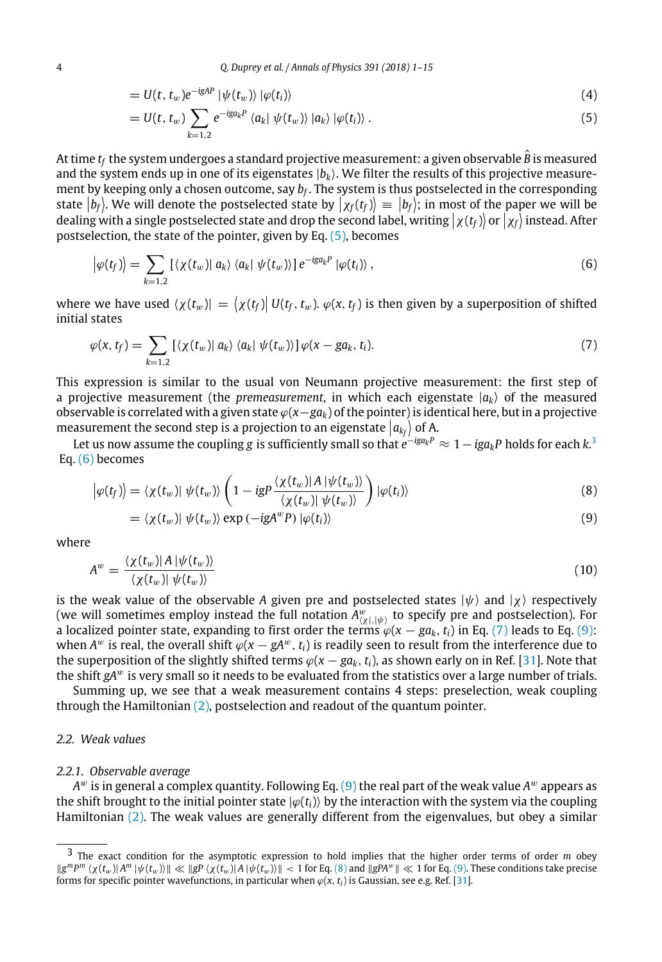<span id="page-3-7"></span>
$$
= U(t, t_w)e^{-igAP} |\psi(t_w)\rangle |\varphi(t_i)\rangle \tag{4}
$$

<span id="page-3-0"></span>
$$
= U(t, t_w) \sum_{k=1,2} e^{-ig_{k}P} \langle a_{k} | \psi(t_w) \rangle | a_{k} \rangle |\varphi(t_i) \rangle . \tag{5}
$$

At time  $t_f$  the system undergoes a standard projective measurement: a given observable  $\hat{B}$  is measured and the system ends up in one of its eigenstates  $|b_k\rangle$ . We filter the results of this projective measurement by keeping only a chosen outcome, say *b<sup>f</sup>* . The system is thus postselected in the corresponding state  $|b_f\rangle$ . We will denote the postselected state by  $|\chi_f(t_f)\rangle \equiv |b_f\rangle$ ; in most of the paper we will be denoted the paper we will be dealing with a single postselected state and drop the second label, writing  $\left| \chi(t_f) \right\rangle$  or  $\left| \chi_f \right\rangle$  instead. After postselection, the state of the pointer, given by Eq. [\(5\),](#page-3-0) becomes

<span id="page-3-2"></span>
$$
\left|\varphi(t_f)\right\rangle = \sum_{k=1,2} \left[ \langle \chi(t_w) | \, a_k \rangle \, \langle a_k | \, \psi(t_w) \rangle \right] e^{-ig a_k P} \left| \varphi(t_i) \right\rangle, \tag{6}
$$

where we have used  $\langle \chi(t_w) | = \langle \chi(t_f) | U(t_f, t_w) \rangle \varphi(x, t_f)$  is then given by a superposition of shifted initial states

<span id="page-3-3"></span>
$$
\varphi(x, t_f) = \sum_{k=1,2} \left[ \langle \chi(t_w) | a_k \rangle \langle a_k | \psi(t_w) \rangle \right] \varphi(x - ga_k, t_i). \tag{7}
$$

This expression is similar to the usual von Neumann projective measurement: the first step of a projective measurement (the *premeasurement*, in which each eigenstate  $|a_k\rangle$  of the measured observable is correlated with a given state ϕ(*x*−*gak*) of the pointer) is identical here, but in a projective measurement the second step is a projection to an eigenstate  $\left| a_{kj} \right\rangle$  of A.

Let us now assume the coupling  $g$  is sufficiently small so that  $e^{-ig a_k P} \approx 1 - i g a_k P$  holds for each  $k.³$ Eq. [\(6\)](#page-3-2) becomes

<span id="page-3-5"></span>
$$
\left|\varphi(t_f)\right\rangle = \left\langle \chi(t_w)\right| \psi(t_w) \right\rangle \left(1 - igP \frac{\left\langle \chi(t_w)\right| A \left|\psi(t_w)\right\rangle}{\left\langle \chi(t_w)\right| \psi(t_w)\right\rangle}\right) \left|\varphi(t_i)\right\rangle \tag{8}
$$

<span id="page-3-4"></span>
$$
= \langle \chi(t_w) | \psi(t_w) \rangle \exp(-igA^w P) | \varphi(t_i) \rangle \tag{9}
$$

where

<span id="page-3-6"></span>
$$
A^w = \frac{\langle \chi(t_w) | A | \psi(t_w) \rangle}{\langle \chi(t_w) | \psi(t_w) \rangle} \tag{10}
$$

is the weak value of the observable *A* given pre and postselected states  $|\psi\rangle$  and  $|\chi\rangle$  respectively (we will sometimes employ instead the full notation  $A^w_{(\chi|,|\psi\rangle)}$  to specify pre and postselection). For a localized pointer state, expanding to first order the terms  $\varphi(x - ga_k, t_i)$  in Eq. [\(7\)](#page-3-3) leads to Eq. [\(9\):](#page-3-4) when  $A^w$  is real, the overall shift  $\varphi(x-gA^w,\,t_i)$  is readily seen to result from the interference due to the superposition of the slightly shifted terms  $\varphi(x - ga_k, t_i)$ , as shown early on in Ref. [\[31\]](#page-14-12). Note that the shift *gA<sup>w</sup>* is very small so it needs to be evaluated from the statistics over a large number of trials.

Summing up, we see that a weak measurement contains 4 steps: preselection, weak coupling through the Hamiltonian [\(2\),](#page-2-1) postselection and readout of the quantum pointer.

### *2.2. Weak values*

#### *2.2.1. Observable average*

*A* <sup>w</sup> is in general a complex quantity. Following Eq. [\(9\)](#page-3-4) the real part of the weak value *A* <sup>w</sup> appears as the shift brought to the initial pointer state  $|\varphi(t_i)\rangle$  by the interaction with the system via the coupling Hamiltonian [\(2\).](#page-2-1) The weak values are generally different from the eigenvalues, but obey a similar

<span id="page-3-1"></span><sup>3</sup> The exact condition for the asymptotic expression to hold implies that the higher order terms of order *m* obey  $\|g^m P^m \left(\chi(t_w)\|A^m\|\psi(t_w)\right)\| \ll \|g\| \left(\chi(t_w)\|A\|\psi(t_w)\right)\| < 1$  for Eq. [\(8\)](#page-3-5) and  $\|gPA^w\| \ll 1$  for Eq. [\(9\).](#page-3-4) These conditions take precise forms for specific pointer wavefunctions, in particular when  $\varphi(x, t_i)$  is Gaussian, see e.g. Ref. [\[31\]](#page-14-12).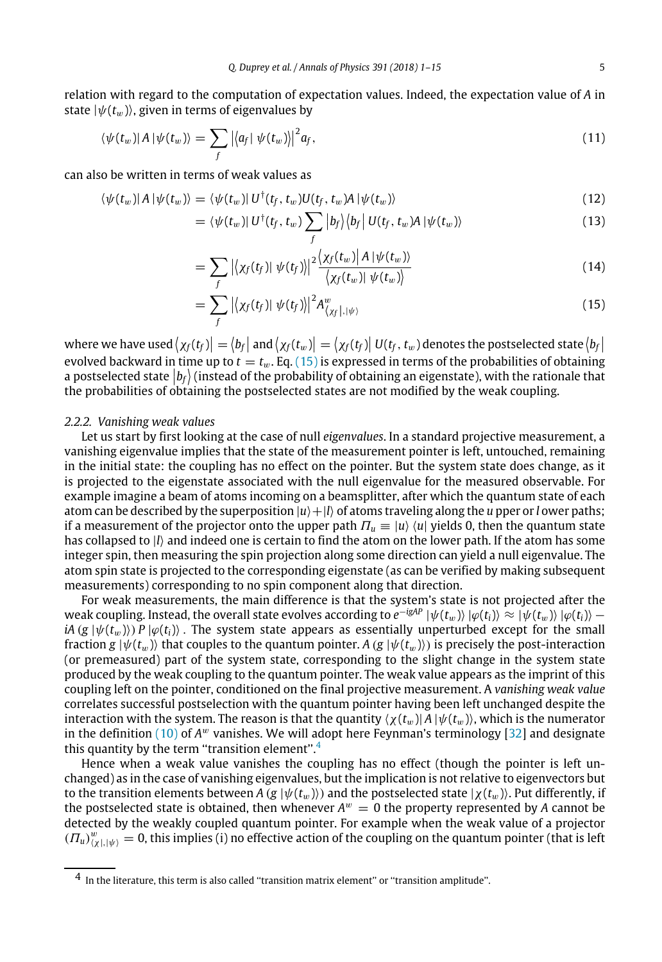relation with regard to the computation of expectation values. Indeed, the expectation value of *A* in state  $|\psi(t_w)\rangle$ , given in terms of eigenvalues by

$$
\langle \psi(t_w)|A|\psi(t_w)\rangle = \sum_f |\langle a_f| \psi(t_w)\rangle|^2 a_f, \qquad (11)
$$

can also be written in terms of weak values as

$$
\langle \psi(t_w) | A | \psi(t_w) \rangle = \langle \psi(t_w) | U^{\dagger}(t_f, t_w) U(t_f, t_w) A | \psi(t_w) \rangle \tag{12}
$$

$$
= \langle \psi(t_w) | U^{\dagger}(t_f, t_w) \sum_{f} |b_f \rangle \langle b_f | U(t_f, t_w) A | \psi(t_w) \rangle \tag{13}
$$

$$
=\sum_{f}\left|\left\langle \chi_{f}(t_{f})\right|\left|\psi(t_{f})\right\rangle \right|^{2}\frac{\left\langle \chi_{f}(t_{w})\right|\left|A\left|\psi(t_{w})\right\rangle \right|}{\left\langle \chi_{f}(t_{w})\right|\left|\psi(t_{w})\right\rangle}\tag{14}
$$

<span id="page-4-0"></span>
$$
=\sum_{f} \left| \left( \chi_f(t_f) \right) \psi(t_f) \right|^2 A^w_{\langle \chi_f |, |\psi \rangle} \tag{15}
$$

where we have used  $\left|\chi_f(t_f)\right| = \left|b_f\right|$  and  $\left|\chi_f(t_w)\right| = \left|\chi_f(t_f)\right|$   $U(t_f, t_w)$  denotes the postselected state  $\left|b_f\right|$ evolved backward in time up to  $t = t_w$ . Eq. [\(15\)](#page-4-0) is expressed in terms of the probabilities of obtaining a postselected state  $|b_f\rangle$  (instead of the probability of obtaining an eigenstate), with the rationale that  $\frac{1}{2}$ the probabilities of obtaining the postselected states are not modified by the weak coupling.

#### <span id="page-4-2"></span>*2.2.2. Vanishing weak values*

Let us start by first looking at the case of null *eigenvalues*. In a standard projective measurement, a vanishing eigenvalue implies that the state of the measurement pointer is left, untouched, remaining in the initial state: the coupling has no effect on the pointer. But the system state does change, as it is projected to the eigenstate associated with the null eigenvalue for the measured observable. For example imagine a beam of atoms incoming on a beamsplitter, after which the quantum state of each atom can be described by the superposition  $|u\rangle + |l\rangle$  of atoms traveling along the *u* pper or *l* ower paths; if a measurement of the projector onto the upper path  $\Pi_u \equiv |u\rangle \langle u|$  yields 0, then the quantum state has collapsed to |*l*⟩ and indeed one is certain to find the atom on the lower path. If the atom has some integer spin, then measuring the spin projection along some direction can yield a null eigenvalue. The atom spin state is projected to the corresponding eigenstate (as can be verified by making subsequent measurements) corresponding to no spin component along that direction.

For weak measurements, the main difference is that the system's state is not projected after the  $\omega$  weak coupling. Instead, the overall state evolves according to  $e^{-igAP}\ket{\psi(t_w)}\ket{\varphi(t_i)}\approx\ket{\psi(t_w)}\ket{\varphi(t_i)}-1$  $iA$  (*g* | $\psi$ ( $t_w$ ))) *P* | $\varphi$ ( $t_i$ ) $\rangle$ . The system state appears as essentially unperturbed except for the small fraction *g*  $|\psi(t_w)\rangle$  that couples to the quantum pointer. *A* (*g*  $|\psi(t_w)\rangle$ ) is precisely the post-interaction (or premeasured) part of the system state, corresponding to the slight change in the system state produced by the weak coupling to the quantum pointer. The weak value appears as the imprint of this coupling left on the pointer, conditioned on the final projective measurement. A *vanishing weak value* correlates successful postselection with the quantum pointer having been left unchanged despite the interaction with the system. The reason is that the quantity  $\langle \chi(t_w) | A | \psi(t_w) \rangle$ , which is the numerator in the definition  $(10)$  of  $A^w$  vanishes. We will adopt here Feynman's terminology  $[32]$  and designate this quantity by the term "transition element".<sup>[4](#page-4-1)</sup>

Hence when a weak value vanishes the coupling has no effect (though the pointer is left unchanged) as in the case of vanishing eigenvalues, but the implication is not relative to eigenvectors but to the transition elements between  $A(g|\psi(t_w)\rangle)$  and the postselected state  $|\chi(t_w)\rangle$ . Put differently, if the postselected state is obtained, then whenever  $A^w = 0$  the property represented by A cannot be detected by the weakly coupled quantum pointer. For example when the weak value of a projector  $(T_u)_{(\chi|,|\psi)}^w=0$ , this implies (i) no effective action of the coupling on the quantum pointer (that is left

<span id="page-4-1"></span><sup>4</sup> In the literature, this term is also called ''transition matrix element'' or ''transition amplitude''.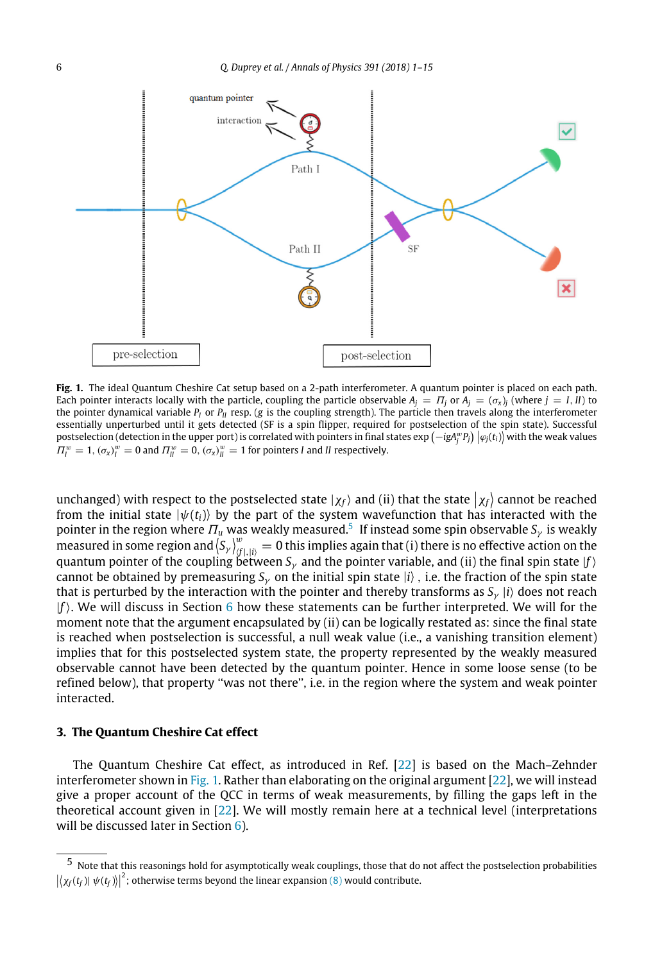<span id="page-5-2"></span>

**Fig. 1.** The ideal Quantum Cheshire Cat setup based on a 2-path interferometer. A quantum pointer is placed on each path. Each pointer interacts locally with the particle, coupling the particle observable  $A_i = \Pi_i$  or  $A_i = (\sigma_x)_i$  (where  $j = I, II$ ) to the pointer dynamical variable  $P_I$  or  $P_{II}$  resp. (*g* is the coupling strength). The particle then travels along the interferometer essentially unperturbed until it gets detected (SF is a spin flipper, required for postselection of the spin state). Successful  $\frac{1}{\sqrt{2}} \int_{0}^{\infty} \frac{1}{\sqrt{2}} \int_{0}^{\infty} \frac{1}{\sqrt{2}} \int_{0}^{\infty} \frac{1}{\sqrt{2}} \int_{0}^{\infty} \frac{1}{\sqrt{2}} \int_{0}^{\infty} \frac{1}{\sqrt{2}} \int_{0}^{\infty} \frac{1}{\sqrt{2}} \int_{0}^{\infty} \frac{1}{\sqrt{2}} \int_{0}^{\infty} \frac{1}{\sqrt{2}} \int_{0}^{\infty} \frac{1}{\sqrt{2}} \int_{0}^{\infty} \frac{1}{\sqrt{2}} \int_{0}^{\infty}$  $\Pi_l^w = 1$ ,  $(\sigma_x)_l^w = 0$  and  $\Pi_{ll}^w = 0$ ,  $(\sigma_x)_l^w = 1$  for pointers *I* and *II* respectively.

unchanged) with respect to the postselected state  $|\chi_f\rangle$  and (ii) that the state  $|\chi_f\rangle$  cannot be reached from the initial state  $|\psi(t_i)\rangle$  by the part of the system wavefunction that has interacted with the pointer in the region where  $\varPi_u$  was weakly measured.<sup>[5](#page-5-1)</sup> If instead some spin observable  $S_\gamma$  is weakly measured in some region and  $\langle S_\gamma\rangle_{\langle f|,|i\rangle}^w=0$  this implies again that (i) there is no effective action on the quantum pointer of the coupling between  $S_\gamma$  and the pointer variable, and (ii) the final spin state [f] cannot be obtained by premeasuring  $S_\gamma$  on the initial spin state  $\ket{i}$  , i.e. the fraction of the spin state that is perturbed by the interaction with the pointer and thereby transforms as  $S_\gamma$  |*i*} does not reach |*f*⟩. We will discuss in Section [6](#page-11-0) how these statements can be further interpreted. We will for the moment note that the argument encapsulated by (ii) can be logically restated as: since the final state is reached when postselection is successful, a null weak value (i.e., a vanishing transition element) implies that for this postselected system state, the property represented by the weakly measured observable cannot have been detected by the quantum pointer. Hence in some loose sense (to be refined below), that property ''was not there'', i.e. in the region where the system and weak pointer interacted.

#### <span id="page-5-0"></span>**3. The Quantum Cheshire Cat effect**

The Quantum Cheshire Cat effect, as introduced in Ref. [\[22\]](#page-14-5) is based on the Mach–Zehnder interferometer shown in [Fig. 1.](#page-5-2) Rather than elaborating on the original argument [\[22\]](#page-14-5), we will instead give a proper account of the QCC in terms of weak measurements, by filling the gaps left in the theoretical account given in [\[22\]](#page-14-5). We will mostly remain here at a technical level (interpretations will be discussed later in Section  $6$ ).

<span id="page-5-1"></span><sup>5</sup> Note that this reasonings hold for asymptotically weak couplings, those that do not affect the postselection probabilities  $\left|\left\langle \chi_f(t_f) \right| \psi(t_f) \right\rangle \right|^2$ ; otherwise terms beyond the linear expansion [\(8\)](#page-3-5) would contribute.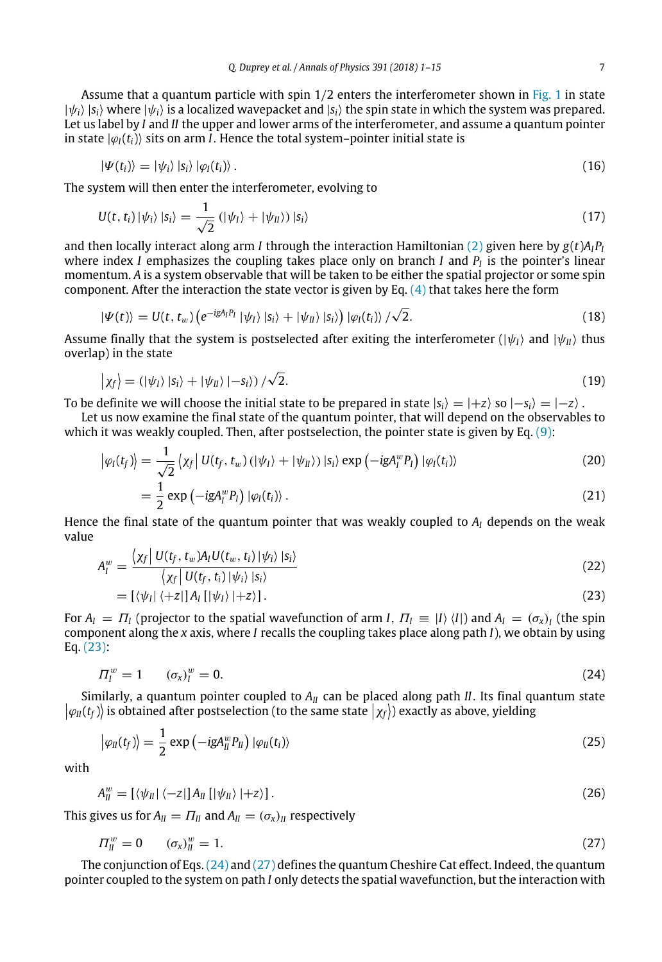Assume that a quantum particle with spin  $1/2$  enters the interferometer shown in [Fig. 1](#page-5-2) in state  $|\psi_i\rangle|s_i\rangle$  where  $|\psi_i\rangle$  is a localized wavepacket and  $|s_i\rangle$  the spin state in which the system was prepared. Let us label by *I* and *II* the upper and lower arms of the interferometer, and assume a quantum pointer in state  $|\varphi_I(t_i)\rangle$  sits on arm *I*. Hence the total system–pointer initial state is

<span id="page-6-3"></span>
$$
|\Psi(t_i)\rangle = |\psi_i\rangle |s_i\rangle |\varphi_i(t_i)\rangle. \tag{16}
$$

The system will then enter the interferometer, evolving to

<span id="page-6-4"></span>
$$
U(t, t_i) |\psi_i\rangle |s_i\rangle = \frac{1}{\sqrt{2}} (|\psi_l\rangle + |\psi_{ll}\rangle) |s_i\rangle
$$
\n(17)

and then locally interact along arm *I* through the interaction Hamiltonian [\(2\)](#page-2-1) given here by *g*(*t*)*AIP<sup>I</sup>* where index *I* emphasizes the coupling takes place only on branch *I* and *P<sup>I</sup>* is the pointer's linear momentum. *A* is a system observable that will be taken to be either the spatial projector or some spin component. After the interaction the state vector is given by Eq.  $(4)$  that takes here the form

<span id="page-6-6"></span>
$$
|\Psi(t)\rangle = U(t, t_w) \left(e^{-igA_l P_l} |\psi_l\rangle |s_i\rangle + |\psi_{ll}\rangle |s_i\rangle\right) |\varphi_l(t_i)\rangle / \sqrt{2}.
$$
 (18)

Assume finally that the system is postselected after exiting the interferometer ( $|\psi_l\rangle$ ) and  $|\psi_u\rangle$  thus overlap) in the state

<span id="page-6-5"></span>
$$
|\chi_f\rangle = (|\psi_I\rangle|s_i\rangle + |\psi_{II}\rangle| - s_i\rangle)/\sqrt{2}.
$$
\n(19)

To be definite we will choose the initial state to be prepared in state  $|s_i\rangle = |+z\rangle$  so  $|-s_i\rangle = |-z\rangle$ .

Let us now examine the final state of the quantum pointer, that will depend on the observables to which it was weakly coupled. Then, after postselection, the pointer state is given by Eq. [\(9\):](#page-3-4)

$$
\left|\varphi_{I}(t_{f})\right\rangle = \frac{1}{\sqrt{2}}\left\langle \chi_{f}\right|U(t_{f},t_{w})(\left|\psi_{I}\right\rangle + \left|\psi_{II}\right\rangle)\left|s_{i}\right\rangle \exp\left(-igA_{I}^{w}P_{I}\right)\left|\varphi_{I}(t_{i})\right\rangle \tag{20}
$$

$$
=\frac{1}{2}\exp\left(-igA_l^wP_l\right)|\varphi_l(t_i)\rangle\,.
$$

Hence the final state of the quantum pointer that was weakly coupled to *A<sup>I</sup>* depends on the weak value

$$
A_{I}^{w} = \frac{\langle X_{I} | U(t_{f}, t_{w}) A_{I} U(t_{w}, t_{i}) | \psi_{i} \rangle |s_{i} \rangle}{\langle X_{I} | U(t_{f}, t_{i}) | \psi_{i} \rangle |s_{i} \rangle}
$$
(22)

<span id="page-6-0"></span>
$$
= [\langle \psi_I | \langle +z|] A_I [|\psi_I\rangle |+z\rangle]. \tag{23}
$$

For  $A_I = \Pi_I$  (projector to the spatial wavefunction of arm *I*,  $\Pi_I \equiv |I\rangle\langle I|$ ) and  $A_I = (\sigma_x)_I$  (the spin component along the *x* axis, where *I* recalls the coupling takes place along path *I*), we obtain by using Eq. [\(23\):](#page-6-0)

<span id="page-6-1"></span>
$$
\Pi_I^w = 1 \qquad (\sigma_x)_I^w = 0. \tag{24}
$$

 $\ket{\varphi_{II}(t_f)}$  is obtained after postselection (to the same state  $\ket{\chi_f}$ ) exactly as above, yielding Similarly, a quantum pointer coupled to  $A<sub>II</sub>$  can be placed along path *II*. Its final quantum state

$$
\left|\varphi_{II}(t_f)\right\rangle = \frac{1}{2} \exp\left(-igA_{II}^w P_{II}\right) \left|\varphi_{II}(t_i)\right\rangle \tag{25}
$$

with

$$
A_{II}^w = \left[ \langle \psi_{II} | \langle -z| \right] A_{II} \left[ | \psi_{II} \rangle | + z \rangle \right]. \tag{26}
$$

This gives us for  $A_{II} = \Pi_{II}$  and  $A_{II} = (\sigma_x)_{II}$  respectively

<span id="page-6-2"></span>
$$
\Pi_{\parallel}^w = 0 \qquad (\sigma_x)_{\parallel}^w = 1. \tag{27}
$$

The conjunction of Eqs.[\(24\)](#page-6-1) and [\(27\)](#page-6-2) defines the quantum Cheshire Cat effect. Indeed, the quantum pointer coupled to the system on path *I* only detects the spatial wavefunction, but the interaction with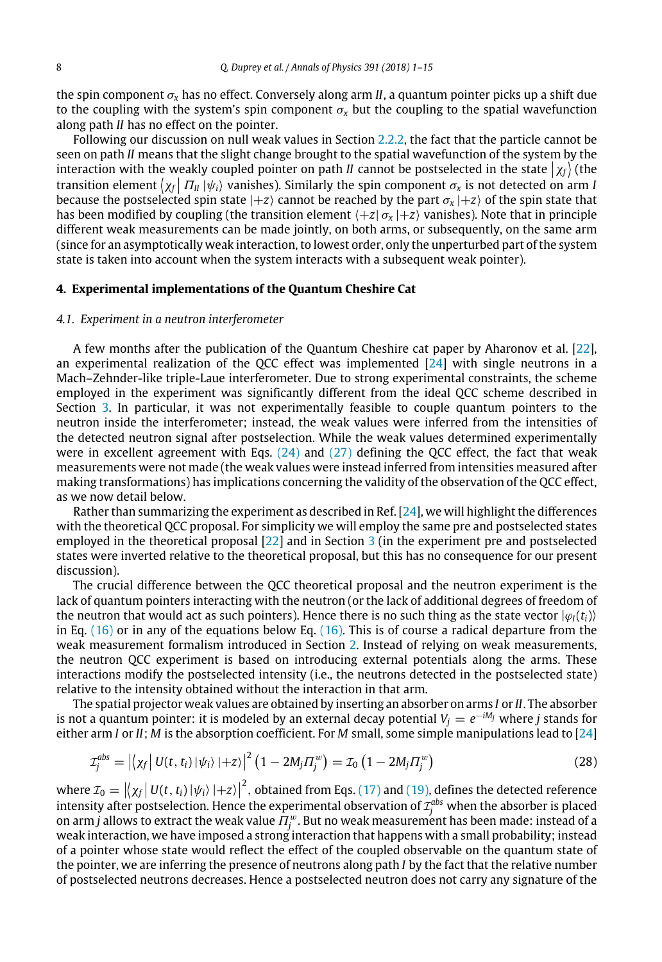the spin component σ*<sup>x</sup>* has no effect. Conversely along arm *II*, a quantum pointer picks up a shift due to the coupling with the system's spin component  $\sigma_x$  but the coupling to the spatial wavefunction along path *II* has no effect on the pointer.

Following our discussion on null weak values in Section [2.2.2,](#page-4-2) the fact that the particle cannot be seen on path *II* means that the slight change brought to the spatial wavefunction of the system by the interaction with the weakly coupled pointer on path *II* cannot be postselected in the state  $|\chi_f\rangle$  (the transition element  $\langle \chi_f | \Pi_{II} | \psi_i \rangle$  vanishes). Similarly the spin component  $\sigma_{\chi}$  is not detected on arm *I* because the postselected spin state  $\ket{+z}$  cannot be reached by the part  $\sigma_{\sf x}\ket{+z}$  of the spin state that has been modified by coupling (the transition element ⟨+*z*| σ*<sup>x</sup>* |+*z*⟩ vanishes). Note that in principle different weak measurements can be made jointly, on both arms, or subsequently, on the same arm (since for an asymptotically weak interaction, to lowest order, only the unperturbed part of the system state is taken into account when the system interacts with a subsequent weak pointer).

## <span id="page-7-0"></span>**4. Experimental implementations of the Quantum Cheshire Cat**

#### <span id="page-7-2"></span>*4.1. Experiment in a neutron interferometer*

A few months after the publication of the Quantum Cheshire cat paper by Aharonov et al. [\[22\]](#page-14-5), an experimental realization of the QCC effect was implemented [\[24\]](#page-14-6) with single neutrons in a Mach–Zehnder-like triple-Laue interferometer. Due to strong experimental constraints, the scheme employed in the experiment was significantly different from the ideal QCC scheme described in Section [3.](#page-5-0) In particular, it was not experimentally feasible to couple quantum pointers to the neutron inside the interferometer; instead, the weak values were inferred from the intensities of the detected neutron signal after postselection. While the weak values determined experimentally were in excellent agreement with Eqs.  $(24)$  and  $(27)$  defining the OCC effect, the fact that weak measurements were not made (the weak values were instead inferred from intensities measured after making transformations) has implications concerning the validity of the observation of the QCC effect, as we now detail below.

Rather than summarizing the experiment as described in Ref. [\[24\]](#page-14-6), we will highlight the differences with the theoretical QCC proposal. For simplicity we will employ the same pre and postselected states employed in the theoretical proposal [\[22\]](#page-14-5) and in Section [3](#page-5-0) (in the experiment pre and postselected states were inverted relative to the theoretical proposal, but this has no consequence for our present discussion).

The crucial difference between the QCC theoretical proposal and the neutron experiment is the lack of quantum pointers interacting with the neutron (or the lack of additional degrees of freedom of the neutron that would act as such pointers). Hence there is no such thing as the state vector  $|\varphi_I(t_i)\rangle$ in Eq.  $(16)$  or in any of the equations below Eq.  $(16)$ . This is of course a radical departure from the weak measurement formalism introduced in Section [2.](#page-2-0) Instead of relying on weak measurements, the neutron QCC experiment is based on introducing external potentials along the arms. These interactions modify the postselected intensity (i.e., the neutrons detected in the postselected state) relative to the intensity obtained without the interaction in that arm.

The spatial projector weak values are obtained by inserting an absorber on arms *I* or *II*. The absorber is not a quantum pointer: it is modeled by an external decay potential  $V_j = e^{-iM_j}$  where *j* stands for either arm *I* or *II*; *M* is the absorption coefficient. For *M* small, some simple manipulations lead to [\[24\]](#page-14-6)

<span id="page-7-1"></span>
$$
\mathcal{I}_j^{abs} = \left| \left\langle \chi_f \right| U(t, t_i) \left| \psi_i \right\rangle \left| + z \right\rangle \right|^2 \left( 1 - 2M_j \Pi_j^w \right) = \mathcal{I}_0 \left( 1 - 2M_j \Pi_j^w \right) \tag{28}
$$

where  $\mathcal{I}_0 = |\langle \chi_f | U(t, t_i) | \psi_i \rangle | + z \rangle|^2$ , obtained from Eqs. [\(17\)](#page-6-4) and [\(19\),](#page-6-5) defines the detected reference where  $z_0 = |\langle X_f | O(t, t_i) | \psi_i \rangle | \pm z_i|$ , obtained from Eqs. (17) and (19), defines the detected reference intensity after postselection. Hence the experimental observation of  $\mathcal{I}^{abs}_j$  when the absorber is placed on arm  $j$  allows to extract the weak value  $\Pi_j^w$ . But no weak measurement has been made: instead of a weak interaction, we have imposed a strong interaction that happens with a small probability; instead of a pointer whose state would reflect the effect of the coupled observable on the quantum state of the pointer, we are inferring the presence of neutrons along path *I* by the fact that the relative number of postselected neutrons decreases. Hence a postselected neutron does not carry any signature of the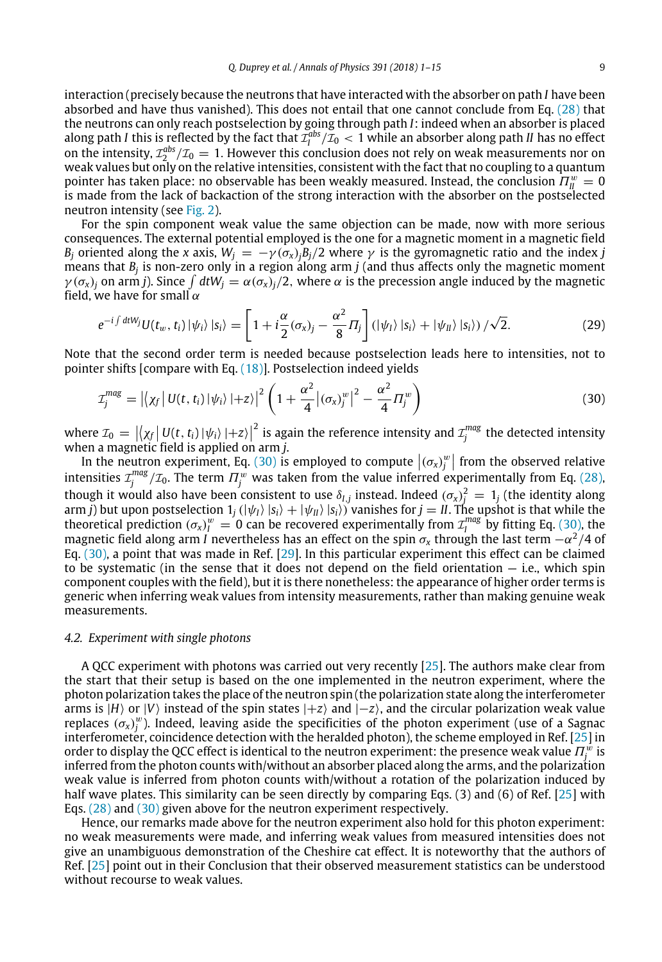interaction (precisely because the neutrons that have interacted with the absorber on path *I* have been absorbed and have thus vanished). This does not entail that one cannot conclude from Eq. [\(28\)](#page-7-1) that the neutrons can only reach postselection by going through path *I*: indeed when an absorber is placed along path *I* this is reflected by the fact that  $\mathcal{I}_I^{abs}/\mathcal{I}_0 < 1$  while an absorber along path *II* has no effect on the intensity,  $\mathcal{I}_2^{abs}/\mathcal{I}_0 = 1$ . However this conclusion does not rely on weak measurements nor on weak values but only on the relative intensities, consistent with the fact that no coupling to a quantum pointer has taken place: no observable has been weakly measured. Instead, the conclusion  $\Pi_{II}^w = 0$ is made from the lack of backaction of the strong interaction with the absorber on the postselected neutron intensity (see [Fig. 2\)](#page-9-0).

For the spin component weak value the same objection can be made, now with more serious consequences. The external potential employed is the one for a magnetic moment in a magnetic field *B*<sup>*j*</sup> oriented along the *x* axis,  $W_i = -\gamma(\sigma_x) \cdot B_i/2$  where  $\gamma$  is the gyromagnetic ratio and the index *j* means that *B<sup>j</sup>* is non-zero only in a region along arm *j* (and thus affects only the magnetic moment  $\gamma(\sigma_x)_j$  on arm *j*). Since  $\int dt W_j = \alpha(\sigma_x)_j/2$ , where  $\alpha$  is the precession angle induced by the magnetic field, we have for small  $\alpha$ 

$$
e^{-i\int dt W_j} U(t_w, t_i) |\psi_i\rangle |s_i\rangle = \left[1 + i\frac{\alpha}{2}(\sigma_x)_j - \frac{\alpha^2}{8} \Pi_j\right] (|\psi_l\rangle |s_i\rangle + |\psi_{ll}\rangle |s_i\rangle) / \sqrt{2}.
$$
 (29)

Note that the second order term is needed because postselection leads here to intensities, not to pointer shifts [compare with Eq. [\(18\)\]](#page-6-6). Postselection indeed yields

<span id="page-8-1"></span>
$$
\mathcal{I}_j^{mag} = \left| \left\langle \chi_f \right| U(t, t_i) \left| \psi_i \right\rangle \right| + z \right\rangle \left| \left( 1 + \frac{\alpha^2}{4} \left| \left( \sigma_x \right)_{j}^w \right| \right|^2 - \frac{\alpha^2}{4} \Pi_j^w \right) \tag{30}
$$

where  $\mathcal{I}_0 = |\langle \chi_f | U(t, t_i) | \psi_i \rangle | + z \rangle|^2$  is again the reference intensity and  $\mathcal{I}_j^{mag}$  the detected intensity when a magnetic field is applied on arm *j*.

In the neutron experiment, Eq. [\(30\)](#page-8-1) is employed to compute  $|(\sigma_x)_j^w|$  from the observed relative intensities  ${\cal I}^{mag}_j/{\cal I}_0$ . The term  $\varPi^{w}_j$  was taken from the value inferred experimentally from Eq. [\(28\),](#page-7-1) though it would also have been consistent to use  $\delta_{I,j}$  instead. Indeed  $(\sigma_x)^2_j = 1_j$  (the identity along arm *j*) but upon postselection  $1_j$  ( $|\psi_I\rangle\ket{s_i} + |\psi_{II}\rangle\ket{s_i}$ ) vanishes for  $j = I$ . The upshot is that while the theoretical prediction  $(\sigma_x)^w = 0$  can be recovered experimentally from  $\mathcal{I}^{mag}_l$  by fitting Eq. [\(30\),](#page-8-1) the magnetic field along arm *I* nevertheless has an effect on the spin  $\sigma_{\sf x}$  through the last term  $-\alpha^2/4$  of Eq. [\(30\),](#page-8-1) a point that was made in Ref. [\[29\]](#page-14-9). In this particular experiment this effect can be claimed to be systematic (in the sense that it does not depend on the field orientation  $-$  i.e., which spin component couples with the field), but it is there nonetheless: the appearance of higher order terms is generic when inferring weak values from intensity measurements, rather than making genuine weak measurements.

#### *4.2. Experiment with single photons*

A QCC experiment with photons was carried out very recently [\[25\]](#page-14-7). The authors make clear from the start that their setup is based on the one implemented in the neutron experiment, where the photon polarization takes the place of the neutron spin (the polarization state along the interferometer arms is |*H*⟩ or |*V*⟩ instead of the spin states |+*z*⟩ and |−*z*⟩, and the circular polarization weak value replaces  $(\sigma_x)^w$ ). Indeed, leaving aside the specificities of the photon experiment (use of a Sagnac interferometer, coincidence detection with the heralded photon), the scheme employed in Ref.  $[25]$  in order to display the QCC effect is identical to the neutron experiment: the presence weak value  $\Pi_j^w$  is inferred from the photon counts with/without an absorber placed along the arms, and the polarization weak value is inferred from photon counts with/without a rotation of the polarization induced by half wave plates. This similarity can be seen directly by comparing Eqs. (3) and (6) of Ref. [\[25\]](#page-14-7) with Eqs. [\(28\)](#page-7-1) and [\(30\)](#page-8-1) given above for the neutron experiment respectively.

<span id="page-8-0"></span>Hence, our remarks made above for the neutron experiment also hold for this photon experiment: no weak measurements were made, and inferring weak values from measured intensities does not give an unambiguous demonstration of the Cheshire cat effect. It is noteworthy that the authors of Ref. [\[25\]](#page-14-7) point out in their Conclusion that their observed measurement statistics can be understood without recourse to weak values.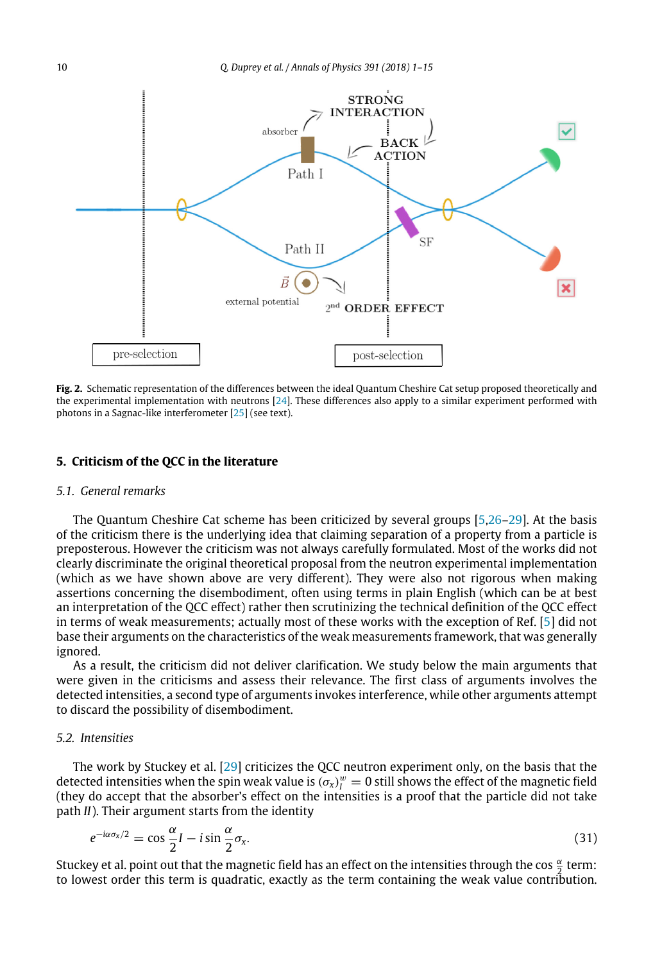<span id="page-9-0"></span>

**Fig. 2.** Schematic representation of the differences between the ideal Quantum Cheshire Cat setup proposed theoretically and the experimental implementation with neutrons [\[24\]](#page-14-6). These differences also apply to a similar experiment performed with photons in a Sagnac-like interferometer [\[25\]](#page-14-7) (see text).

#### **5. Criticism of the QCC in the literature**

#### *5.1. General remarks*

The Quantum Cheshire Cat scheme has been criticized by several groups [\[5](#page-13-2)[,26–](#page-14-8)[29\]](#page-14-9). At the basis of the criticism there is the underlying idea that claiming separation of a property from a particle is preposterous. However the criticism was not always carefully formulated. Most of the works did not clearly discriminate the original theoretical proposal from the neutron experimental implementation (which as we have shown above are very different). They were also not rigorous when making assertions concerning the disembodiment, often using terms in plain English (which can be at best an interpretation of the QCC effect) rather then scrutinizing the technical definition of the QCC effect in terms of weak measurements; actually most of these works with the exception of Ref. [\[5\]](#page-13-2) did not base their arguments on the characteristics of the weak measurements framework, that was generally ignored.

As a result, the criticism did not deliver clarification. We study below the main arguments that were given in the criticisms and assess their relevance. The first class of arguments involves the detected intensities, a second type of arguments invokes interference, while other arguments attempt to discard the possibility of disembodiment.

# *5.2. Intensities*

The work by Stuckey et al. [\[29\]](#page-14-9) criticizes the QCC neutron experiment only, on the basis that the detected intensities when the spin weak value is  $(\sigma_x)^w_{I}=0$  still shows the effect of the magnetic field (they do accept that the absorber's effect on the intensities is a proof that the particle did not take path *II*). Their argument starts from the identity

$$
e^{-i\alpha\sigma_x/2} = \cos\frac{\alpha}{2}I - i\sin\frac{\alpha}{2}\sigma_x.
$$
\n(31)

Stuckey et al. point out that the magnetic field has an effect on the intensities through the cos  $\frac{\alpha}{2}$  term: 2 to lowest order this term is quadratic, exactly as the term containing the weak value contribution.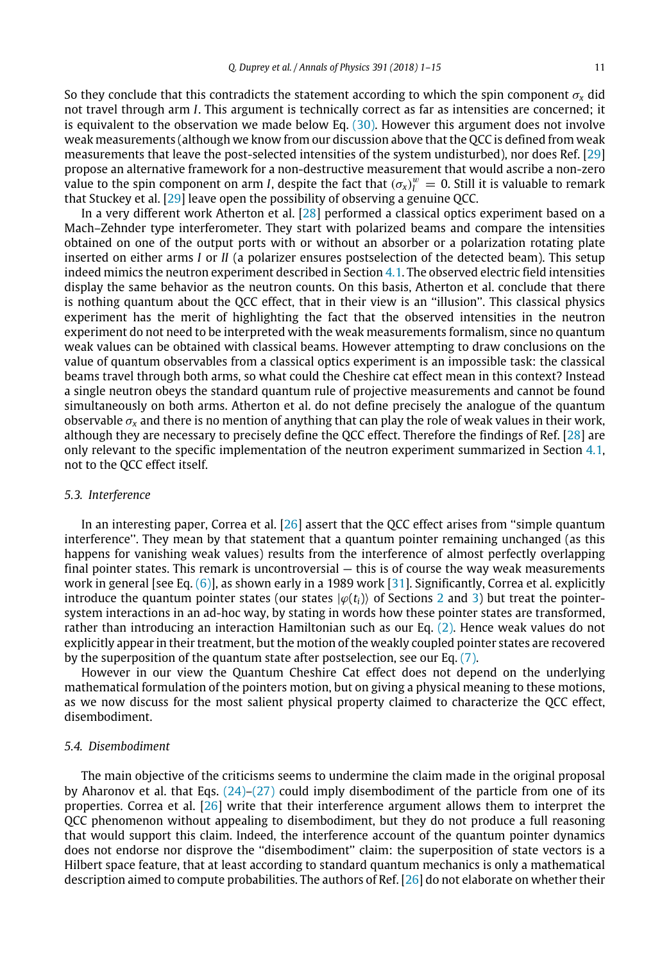So they conclude that this contradicts the statement according to which the spin component  $\sigma_x$  did not travel through arm *I*. This argument is technically correct as far as intensities are concerned; it is equivalent to the observation we made below Eq. [\(30\).](#page-8-1) However this argument does not involve weak measurements (although we know from our discussion above that the QCC is defined from weak measurements that leave the post-selected intensities of the system undisturbed), nor does Ref. [\[29\]](#page-14-9) propose an alternative framework for a non-destructive measurement that would ascribe a non-zero value to the spin component on arm *I*, despite the fact that  $(\sigma_x)^w = 0$ . Still it is valuable to remark that Stuckey et al. [\[29\]](#page-14-9) leave open the possibility of observing a genuine QCC.

In a very different work Atherton et al. [\[28\]](#page-14-14) performed a classical optics experiment based on a Mach–Zehnder type interferometer. They start with polarized beams and compare the intensities obtained on one of the output ports with or without an absorber or a polarization rotating plate inserted on either arms *I* or *II* (a polarizer ensures postselection of the detected beam). This setup indeed mimics the neutron experiment described in Section [4.1.](#page-7-2) The observed electric field intensities display the same behavior as the neutron counts. On this basis, Atherton et al. conclude that there is nothing quantum about the QCC effect, that in their view is an ''illusion''. This classical physics experiment has the merit of highlighting the fact that the observed intensities in the neutron experiment do not need to be interpreted with the weak measurements formalism, since no quantum weak values can be obtained with classical beams. However attempting to draw conclusions on the value of quantum observables from a classical optics experiment is an impossible task: the classical beams travel through both arms, so what could the Cheshire cat effect mean in this context? Instead a single neutron obeys the standard quantum rule of projective measurements and cannot be found simultaneously on both arms. Atherton et al. do not define precisely the analogue of the quantum observable  $\sigma_x$  and there is no mention of anything that can play the role of weak values in their work, although they are necessary to precisely define the QCC effect. Therefore the findings of Ref. [\[28\]](#page-14-14) are only relevant to the specific implementation of the neutron experiment summarized in Section [4.1,](#page-7-2) not to the QCC effect itself.

### *5.3. Interference*

In an interesting paper, Correa et al.  $[26]$  assert that the QCC effect arises from "simple quantum interference''. They mean by that statement that a quantum pointer remaining unchanged (as this happens for vanishing weak values) results from the interference of almost perfectly overlapping final pointer states. This remark is uncontroversial — this is of course the way weak measurements work in general [see Eq. [\(6\)\]](#page-3-2), as shown early in a 1989 work [\[31\]](#page-14-12). Significantly, Correa et al. explicitly introduce the quantum pointer states (our states  $|\varphi(t_i)\rangle$  of Sections [2](#page-2-0) and [3\)](#page-5-0) but treat the pointersystem interactions in an ad-hoc way, by stating in words how these pointer states are transformed, rather than introducing an interaction Hamiltonian such as our Eq. [\(2\).](#page-2-1) Hence weak values do not explicitly appear in their treatment, but the motion of the weakly coupled pointer states are recovered by the superposition of the quantum state after postselection, see our Eq. [\(7\).](#page-3-3)

However in our view the Quantum Cheshire Cat effect does not depend on the underlying mathematical formulation of the pointers motion, but on giving a physical meaning to these motions, as we now discuss for the most salient physical property claimed to characterize the QCC effect, disembodiment.

### *5.4. Disembodiment*

The main objective of the criticisms seems to undermine the claim made in the original proposal by Aharonov et al. that Eqs. [\(24\)–](#page-6-1)[\(27\)](#page-6-2) could imply disembodiment of the particle from one of its properties. Correa et al. [\[26\]](#page-14-8) write that their interference argument allows them to interpret the QCC phenomenon without appealing to disembodiment, but they do not produce a full reasoning that would support this claim. Indeed, the interference account of the quantum pointer dynamics does not endorse nor disprove the ''disembodiment'' claim: the superposition of state vectors is a Hilbert space feature, that at least according to standard quantum mechanics is only a mathematical description aimed to compute probabilities. The authors of Ref. [\[26\]](#page-14-8) do not elaborate on whether their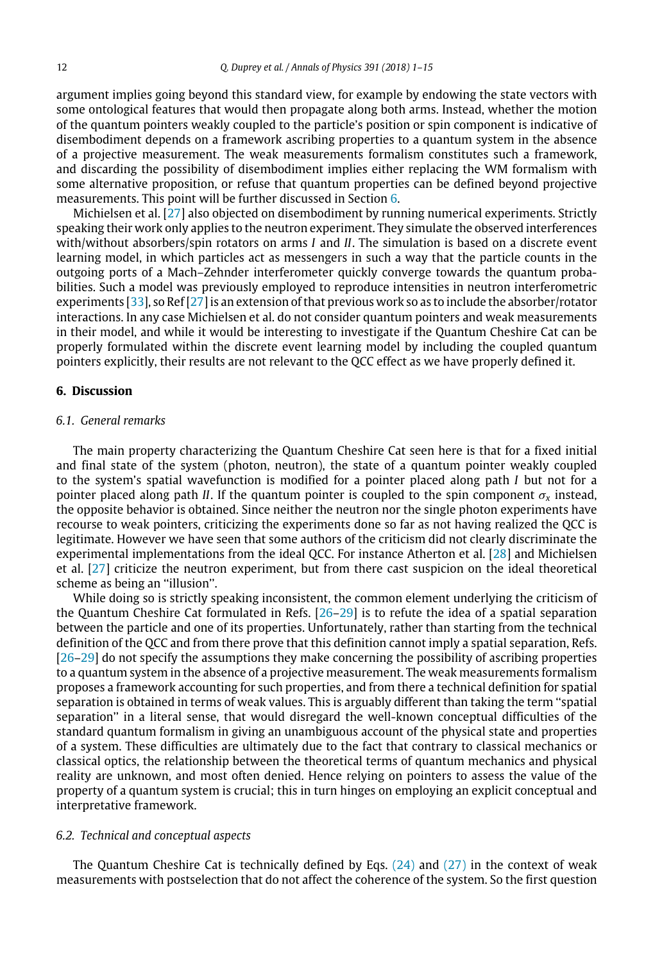argument implies going beyond this standard view, for example by endowing the state vectors with some ontological features that would then propagate along both arms. Instead, whether the motion of the quantum pointers weakly coupled to the particle's position or spin component is indicative of disembodiment depends on a framework ascribing properties to a quantum system in the absence of a projective measurement. The weak measurements formalism constitutes such a framework, and discarding the possibility of disembodiment implies either replacing the WM formalism with some alternative proposition, or refuse that quantum properties can be defined beyond projective measurements. This point will be further discussed in Section [6.](#page-11-0)

Michielsen et al. [\[27\]](#page-14-15) also objected on disembodiment by running numerical experiments. Strictly speaking their work only applies to the neutron experiment. They simulate the observed interferences with/without absorbers/spin rotators on arms *I* and *II*. The simulation is based on a discrete event learning model, in which particles act as messengers in such a way that the particle counts in the outgoing ports of a Mach–Zehnder interferometer quickly converge towards the quantum probabilities. Such a model was previously employed to reproduce intensities in neutron interferometric experiments [\[33\]](#page-14-16), so Ref [\[27\]](#page-14-15) is an extension of that previous work so as to include the absorber/rotator interactions. In any case Michielsen et al. do not consider quantum pointers and weak measurements in their model, and while it would be interesting to investigate if the Quantum Cheshire Cat can be properly formulated within the discrete event learning model by including the coupled quantum pointers explicitly, their results are not relevant to the QCC effect as we have properly defined it.

# <span id="page-11-0"></span>**6. Discussion**

# *6.1. General remarks*

The main property characterizing the Quantum Cheshire Cat seen here is that for a fixed initial and final state of the system (photon, neutron), the state of a quantum pointer weakly coupled to the system's spatial wavefunction is modified for a pointer placed along path *I* but not for a pointer placed along path *II*. If the quantum pointer is coupled to the spin component  $\sigma_x$  instead, the opposite behavior is obtained. Since neither the neutron nor the single photon experiments have recourse to weak pointers, criticizing the experiments done so far as not having realized the QCC is legitimate. However we have seen that some authors of the criticism did not clearly discriminate the experimental implementations from the ideal QCC. For instance Atherton et al. [\[28\]](#page-14-14) and Michielsen et al. [\[27\]](#page-14-15) criticize the neutron experiment, but from there cast suspicion on the ideal theoretical scheme as being an ''illusion''.

While doing so is strictly speaking inconsistent, the common element underlying the criticism of the Quantum Cheshire Cat formulated in Refs. [\[26](#page-14-8)[–29\]](#page-14-9) is to refute the idea of a spatial separation between the particle and one of its properties. Unfortunately, rather than starting from the technical definition of the QCC and from there prove that this definition cannot imply a spatial separation, Refs. [\[26](#page-14-8)[–29\]](#page-14-9) do not specify the assumptions they make concerning the possibility of ascribing properties to a quantum system in the absence of a projective measurement. The weak measurements formalism proposes a framework accounting for such properties, and from there a technical definition for spatial separation is obtained in terms of weak values. This is arguably different than taking the term ''spatial separation'' in a literal sense, that would disregard the well-known conceptual difficulties of the standard quantum formalism in giving an unambiguous account of the physical state and properties of a system. These difficulties are ultimately due to the fact that contrary to classical mechanics or classical optics, the relationship between the theoretical terms of quantum mechanics and physical reality are unknown, and most often denied. Hence relying on pointers to assess the value of the property of a quantum system is crucial; this in turn hinges on employing an explicit conceptual and interpretative framework.

#### *6.2. Technical and conceptual aspects*

The Quantum Cheshire Cat is technically defined by Eqs.  $(24)$  and  $(27)$  in the context of weak measurements with postselection that do not affect the coherence of the system. So the first question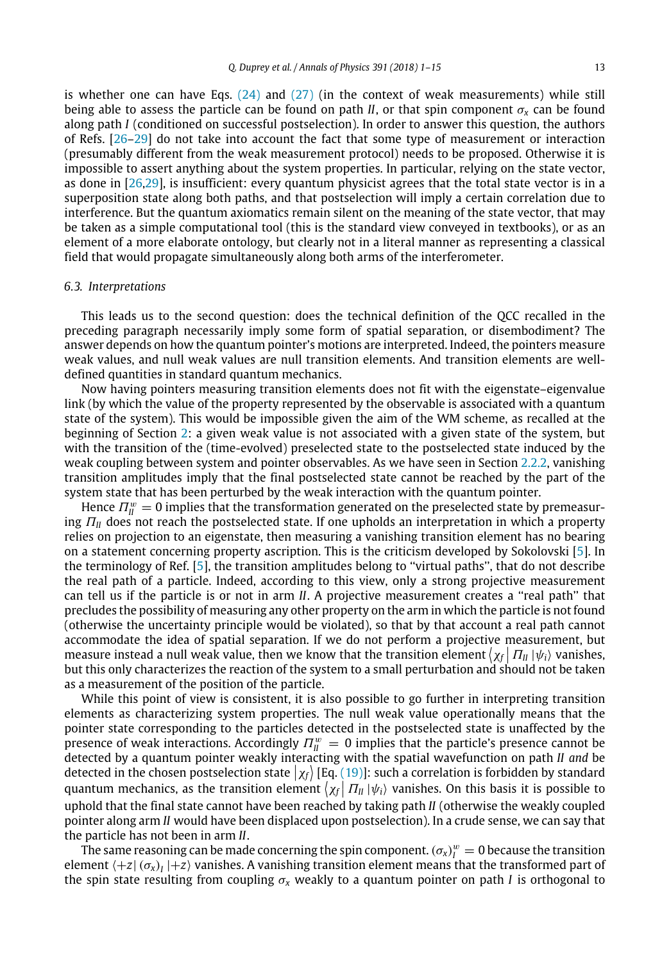is whether one can have Eqs.  $(24)$  and  $(27)$  (in the context of weak measurements) while still being able to assess the particle can be found on path *II*, or that spin component  $\sigma_x$  can be found along path *I* (conditioned on successful postselection). In order to answer this question, the authors of Refs. [\[26](#page-14-8)[–29\]](#page-14-9) do not take into account the fact that some type of measurement or interaction (presumably different from the weak measurement protocol) needs to be proposed. Otherwise it is impossible to assert anything about the system properties. In particular, relying on the state vector, as done in [\[26,](#page-14-8)[29\]](#page-14-9), is insufficient: every quantum physicist agrees that the total state vector is in a superposition state along both paths, and that postselection will imply a certain correlation due to interference. But the quantum axiomatics remain silent on the meaning of the state vector, that may be taken as a simple computational tool (this is the standard view conveyed in textbooks), or as an element of a more elaborate ontology, but clearly not in a literal manner as representing a classical

#### *6.3. Interpretations*

This leads us to the second question: does the technical definition of the QCC recalled in the preceding paragraph necessarily imply some form of spatial separation, or disembodiment? The answer depends on how the quantum pointer's motions are interpreted. Indeed, the pointers measure weak values, and null weak values are null transition elements. And transition elements are welldefined quantities in standard quantum mechanics.

field that would propagate simultaneously along both arms of the interferometer.

Now having pointers measuring transition elements does not fit with the eigenstate–eigenvalue link (by which the value of the property represented by the observable is associated with a quantum state of the system). This would be impossible given the aim of the WM scheme, as recalled at the beginning of Section [2:](#page-2-0) a given weak value is not associated with a given state of the system, but with the transition of the (time-evolved) preselected state to the postselected state induced by the weak coupling between system and pointer observables. As we have seen in Section [2.2.2,](#page-4-2) vanishing transition amplitudes imply that the final postselected state cannot be reached by the part of the system state that has been perturbed by the weak interaction with the quantum pointer.

Hence  $\Pi^w_{\rm II}=0$  implies that the transformation generated on the preselected state by premeasuring Π*II* does not reach the postselected state. If one upholds an interpretation in which a property relies on projection to an eigenstate, then measuring a vanishing transition element has no bearing on a statement concerning property ascription. This is the criticism developed by Sokolovski [\[5\]](#page-13-2). In the terminology of Ref. [\[5\]](#page-13-2), the transition amplitudes belong to ''virtual paths'', that do not describe the real path of a particle. Indeed, according to this view, only a strong projective measurement can tell us if the particle is or not in arm *II*. A projective measurement creates a ''real path'' that precludes the possibility of measuring any other property on the arm in which the particle is not found (otherwise the uncertainty principle would be violated), so that by that account a real path cannot accommodate the idea of spatial separation. If we do not perform a projective measurement, but measure instead a null weak value, then we know that the transition element  $\langle \chi_f | \Pi_{II} | \psi_i \rangle$  vanishes, but this only characterizes the reaction of the system to a small perturbation and should not be taken as a measurement of the position of the particle.

While this point of view is consistent, it is also possible to go further in interpreting transition elements as characterizing system properties. The null weak value operationally means that the pointer state corresponding to the particles detected in the postselected state is unaffected by the presence of weak interactions. Accordingly  $\Pi_{II}^w = 0$  implies that the particle's presence cannot be detected by a quantum pointer weakly interacting with the spatial wavefunction on path *II and* be detected in the chosen postselection state  $|\chi_f\rangle$  [Eq. [\(19\)\]](#page-6-5): such a correlation is forbidden by standard quantum mechanics, as the transition element  $\chi_f | \Pi_{II} | \psi_i \rangle$  vanishes. On this basis it is possible to uphold that the final state cannot have been reached by taking path *II* (otherwise the weakly coupled pointer along arm *II* would have been displaced upon postselection). In a crude sense, we can say that the particle has not been in arm *II*.

The same reasoning can be made concerning the spin component.  $(\sigma_{\rm x})^w_{I} = 0$  because the transition element  $\bra{+z}(\sigma_x)_I\ket{+z}$  vanishes. A vanishing transition element means that the transformed part of the spin state resulting from coupling  $\sigma_x$  weakly to a quantum pointer on path *I* is orthogonal to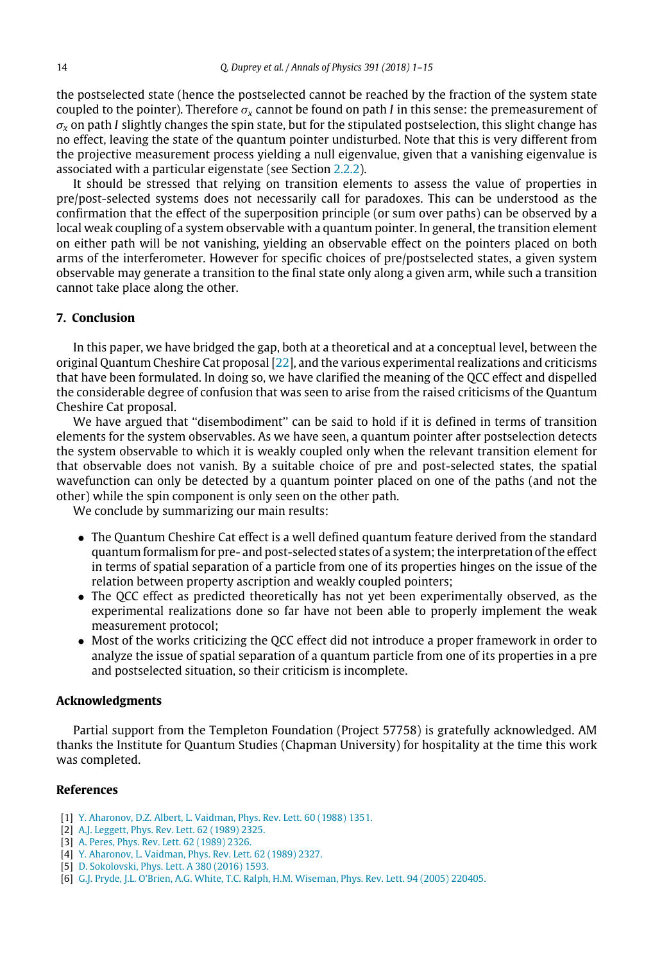the postselected state (hence the postselected cannot be reached by the fraction of the system state coupled to the pointer). Therefore  $\sigma_x$  cannot be found on path *I* in this sense: the premeasurement of  $\sigma_{\rm x}$  on path *I* slightly changes the spin state, but for the stipulated postselection, this slight change has no effect, leaving the state of the quantum pointer undisturbed. Note that this is very different from the projective measurement process yielding a null eigenvalue, given that a vanishing eigenvalue is associated with a particular eigenstate (see Section [2.2.2\)](#page-4-2).

It should be stressed that relying on transition elements to assess the value of properties in pre/post-selected systems does not necessarily call for paradoxes. This can be understood as the confirmation that the effect of the superposition principle (or sum over paths) can be observed by a local weak coupling of a system observable with a quantum pointer. In general, the transition element on either path will be not vanishing, yielding an observable effect on the pointers placed on both arms of the interferometer. However for specific choices of pre/postselected states, a given system observable may generate a transition to the final state only along a given arm, while such a transition cannot take place along the other.

#### <span id="page-13-4"></span>**7. Conclusion**

In this paper, we have bridged the gap, both at a theoretical and at a conceptual level, between the original Quantum Cheshire Cat proposal [\[22\]](#page-14-5), and the various experimental realizations and criticisms that have been formulated. In doing so, we have clarified the meaning of the QCC effect and dispelled the considerable degree of confusion that was seen to arise from the raised criticisms of the Quantum Cheshire Cat proposal.

We have argued that ''disembodiment'' can be said to hold if it is defined in terms of transition elements for the system observables. As we have seen, a quantum pointer after postselection detects the system observable to which it is weakly coupled only when the relevant transition element for that observable does not vanish. By a suitable choice of pre and post-selected states, the spatial wavefunction can only be detected by a quantum pointer placed on one of the paths (and not the other) while the spin component is only seen on the other path.

We conclude by summarizing our main results:

- The Quantum Cheshire Cat effect is a well defined quantum feature derived from the standard quantum formalism for pre- and post-selected states of a system; the interpretation of the effect in terms of spatial separation of a particle from one of its properties hinges on the issue of the relation between property ascription and weakly coupled pointers;
- The QCC effect as predicted theoretically has not yet been experimentally observed, as the experimental realizations done so far have not been able to properly implement the weak measurement protocol;
- Most of the works criticizing the QCC effect did not introduce a proper framework in order to analyze the issue of spatial separation of a quantum particle from one of its properties in a pre and postselected situation, so their criticism is incomplete.

#### **Acknowledgments**

Partial support from the Templeton Foundation (Project 57758) is gratefully acknowledged. AM thanks the Institute for Quantum Studies (Chapman University) for hospitality at the time this work was completed.

# **References**

- <span id="page-13-0"></span>[1] [Y. Aharonov, D.Z. Albert, L. Vaidman, Phys. Rev. Lett. 60 \(1988\) 1351.](http://refhub.elsevier.com/S0003-4916(18)30019-8/sb1)
- <span id="page-13-1"></span>[2] [A.J. Leggett, Phys. Rev. Lett. 62 \(1989\) 2325.](http://refhub.elsevier.com/S0003-4916(18)30019-8/sb2)
- [3] [A. Peres, Phys. Rev. Lett. 62 \(1989\) 2326.](http://refhub.elsevier.com/S0003-4916(18)30019-8/sb3)
- [4] [Y. Aharonov, L. Vaidman, Phys. Rev. Lett. 62 \(1989\) 2327.](http://refhub.elsevier.com/S0003-4916(18)30019-8/sb4)
- <span id="page-13-2"></span>[5] [D. Sokolovski, Phys. Lett. A 380 \(2016\) 1593.](http://refhub.elsevier.com/S0003-4916(18)30019-8/sb5)
- <span id="page-13-3"></span>[6] [G.J. Pryde, J.L. O'Brien, A.G. White, T.C. Ralph, H.M. Wiseman, Phys. Rev. Lett. 94 \(2005\) 220405.](http://refhub.elsevier.com/S0003-4916(18)30019-8/sb6)